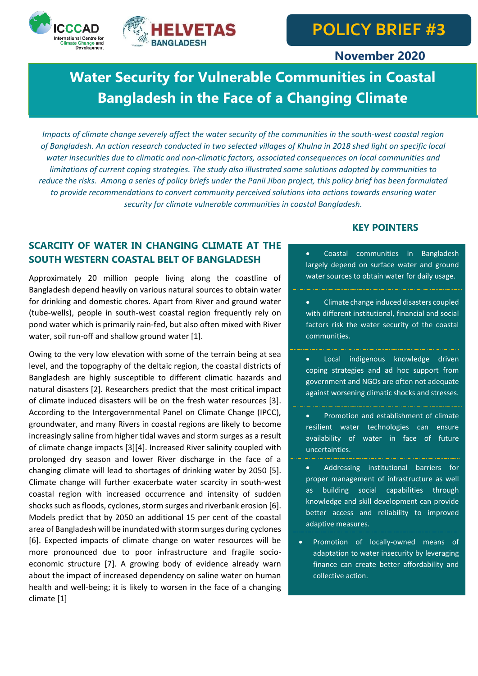



## **November 2020**

# **Water Security for Vulnerable Communities in Coastal Bangladesh in the Face of a Changing Climate**

*Impacts of climate change severely affect the water security of the communities in the south-west coastal region of Bangladesh. An action research conducted in two selected villages of Khulna in 2018 shed light on specific local water insecurities due to climatic and non-climatic factors, associated consequences on local communities and limitations of current coping strategies. The study also illustrated some solutions adopted by communities to reduce the risks. Among a series of policy briefs under the Panii Jibon project, this policy brief has been formulated to provide recommendations to convert community perceived solutions into actions towards ensuring water security for climate vulnerable communities in coastal Bangladesh.*

## **SCARCITY OF WATER IN CHANGING CLIMATE AT THE SOUTH WESTERN COASTAL BELT OF BANGLADESH**

Approximately 20 million people living along the coastline of Bangladesh depend heavily on various natural sources to obtain water for drinking and domestic chores. Apart from River and ground water (tube-wells), people in south-west coastal region frequently rely on pond water which is primarily rain-fed, but also often mixed with River water, soil run-off and shallow ground water [1].

Owing to the very low elevation with some of the terrain being at sea level, and the topography of the deltaic region, the coastal districts of Bangladesh are highly susceptible to different climatic hazards and natural disasters [2]. Researchers predict that the most critical impact of climate induced disasters will be on the fresh water resources [3]. According to the Intergovernmental Panel on Climate Change (IPCC), groundwater, and many Rivers in coastal regions are likely to become increasingly saline from higher tidal waves and storm surges as a result of climate change impacts [3][4]. Increased River salinity coupled with prolonged dry season and lower River discharge in the face of a changing climate will lead to shortages of drinking water by 2050 [5]. Climate change will further exacerbate water scarcity in south-west coastal region with increased occurrence and intensity of sudden shocks such as floods, cyclones, storm surges and riverbank erosion [6]. Models predict that by 2050 an additional 15 per cent of the coastal area of Bangladesh will be inundated with storm surges during cyclones [6]. Expected impacts of climate change on water resources will be more pronounced due to poor infrastructure and fragile socioeconomic structure [7]. A growing body of evidence already warn about the impact of increased dependency on saline water on human health and well-being; it is likely to worsen in the face of a changing climate [1]

## **KEY POINTERS**

 Coastal communities in Bangladesh largely depend on surface water and ground water sources to obtain water for daily usage.

- Climate change induced disasters coupled with different institutional, financial and social factors risk the water security of the coastal communities.
- Local indigenous knowledge driven coping strategies and ad hoc support from government and NGOs are often not adequate against worsening climatic shocks and stresses.
- Promotion and establishment of climate resilient water technologies can ensure availability of water in face of future uncertainties.
- Addressing institutional barriers for proper management of infrastructure as well as building social capabilities through knowledge and skill development can provide better access and reliability to improved adaptive measures.
- Promotion of locally-owned means of adaptation to water insecurity by leveraging finance can create better affordability and collective action.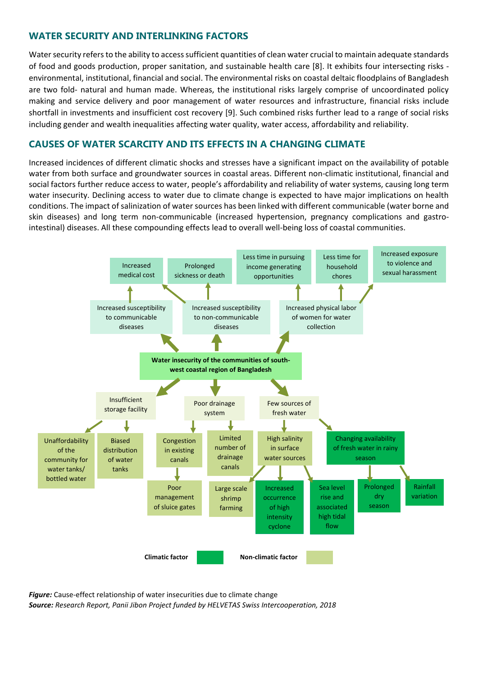## **WATER SECURITY AND INTERLINKING FACTORS**

Water security refers to the ability to access sufficient quantities of clean water crucial to maintain adequate standards of food and goods production, proper sanitation, and sustainable health care [8]. It exhibits four intersecting risks environmental, institutional, financial and social. The environmental risks on coastal deltaic floodplains of Bangladesh are two fold- natural and human made. Whereas, the institutional risks largely comprise of uncoordinated policy making and service delivery and poor management of water resources and infrastructure, financial risks include shortfall in investments and insufficient cost recovery [9]. Such combined risks further lead to a range of social risks including gender and wealth inequalities affecting water quality, water access, affordability and reliability.

## **CAUSES OF WATER SCARCITY AND ITS EFFECTS IN A CHANGING CLIMATE**

Increased incidences of different climatic shocks and stresses have a significant impact on the availability of potable water from both surface and groundwater sources in coastal areas. Different non-climatic institutional, financial and social factors further reduce access to water, people's affordability and reliability of water systems, causing long term water insecurity. Declining access to water due to climate change is expected to have major implications on health conditions. The impact of salinization of water sources has been linked with different communicable (water borne and skin diseases) and long term non-communicable (increased hypertension, pregnancy complications and gastrointestinal) diseases. All these compounding effects lead to overall well-being loss of coastal communities.



*Figure:* Cause-effect relationship of water insecurities due to climate change *Source: Research Report, Panii Jibon Project funded by HELVETAS Swiss Intercooperation, 2018*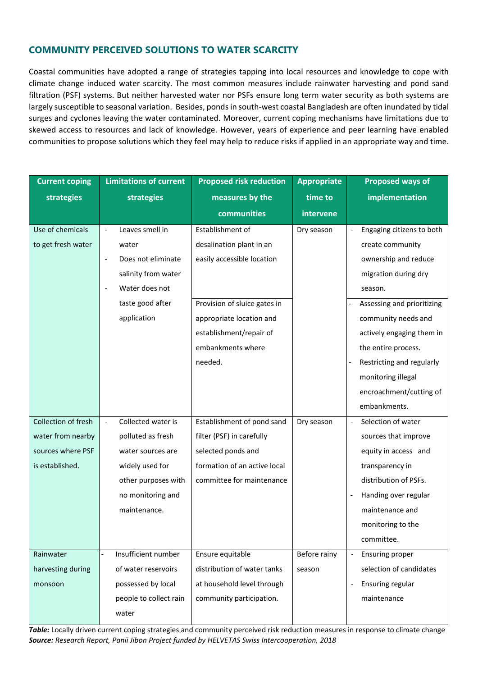## **COMMUNITY PERCEIVED SOLUTIONS TO WATER SCARCITY**

Coastal communities have adopted a range of strategies tapping into local resources and knowledge to cope with climate change induced water scarcity. The most common measures include rainwater harvesting and pond sand filtration (PSF) systems. But neither harvested water nor PSFs ensure long term water security as both systems are largely susceptible to seasonal variation. Besides, ponds in south-west coastal Bangladesh are often inundated by tidal surges and cyclones leaving the water contaminated. Moreover, current coping mechanisms have limitations due to skewed access to resources and lack of knowledge. However, years of experience and peer learning have enabled communities to propose solutions which they feel may help to reduce risks if applied in an appropriate way and time.

| <b>Current coping</b> | <b>Limitations of current</b> | <b>Proposed risk reduction</b> | <b>Appropriate</b> | <b>Proposed ways of</b>    |
|-----------------------|-------------------------------|--------------------------------|--------------------|----------------------------|
| strategies            | strategies                    | measures by the                | time to            | implementation             |
|                       |                               | communities                    | intervene          |                            |
| Use of chemicals      | Leaves smell in               | Establishment of               | Dry season         | Engaging citizens to both  |
| to get fresh water    | water                         | desalination plant in an       |                    | create community           |
|                       | Does not eliminate            | easily accessible location     |                    | ownership and reduce       |
|                       | salinity from water           |                                |                    | migration during dry       |
|                       | Water does not                |                                |                    | season.                    |
|                       | taste good after              | Provision of sluice gates in   |                    | Assessing and prioritizing |
|                       | application                   | appropriate location and       |                    | community needs and        |
|                       |                               | establishment/repair of        |                    | actively engaging them in  |
|                       |                               | embankments where              |                    | the entire process.        |
|                       |                               | needed.                        |                    | Restricting and regularly  |
|                       |                               |                                |                    | monitoring illegal         |
|                       |                               |                                |                    | encroachment/cutting of    |
|                       |                               |                                |                    | embankments.               |
| Collection of fresh   | Collected water is            | Establishment of pond sand     | Dry season         | Selection of water         |
| water from nearby     | polluted as fresh             | filter (PSF) in carefully      |                    | sources that improve       |
| sources where PSF     | water sources are             | selected ponds and             |                    | equity in access and       |
| is established.       | widely used for               | formation of an active local   |                    | transparency in            |
|                       | other purposes with           | committee for maintenance      |                    | distribution of PSFs.      |
|                       | no monitoring and             |                                |                    | Handing over regular       |
|                       | maintenance.                  |                                |                    | maintenance and            |
|                       |                               |                                |                    | monitoring to the          |
|                       |                               |                                |                    | committee.                 |
| Rainwater             | Insufficient number           | Ensure equitable               | Before rainy       | <b>Ensuring proper</b>     |
| harvesting during     | of water reservoirs           | distribution of water tanks    | season             | selection of candidates    |
| monsoon               | possessed by local            | at household level through     |                    | Ensuring regular           |
|                       | people to collect rain        | community participation.       |                    | maintenance                |
|                       | water                         |                                |                    |                            |

*Table:* Locally driven current coping strategies and community perceived risk reduction measures in response to climate change *Source: Research Report, Panii Jibon Project funded by HELVETAS Swiss Intercooperation, 2018*